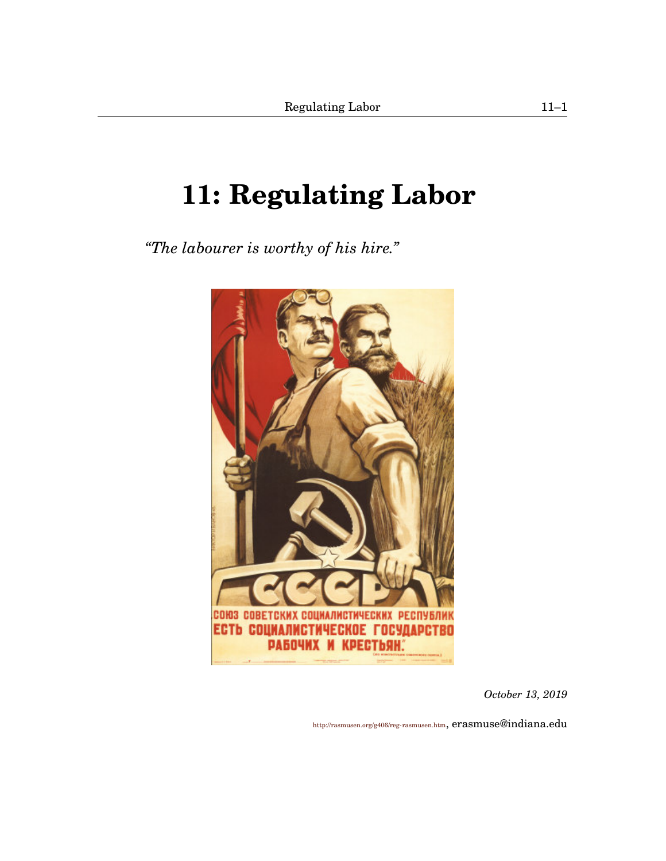# <span id="page-0-1"></span><span id="page-0-0"></span>**[11:](#page-0-0) Regulating Labor**

*"The labourer is worthy of his hire."*



*October 13, 2019*

<http://rasmusen.org/g406/reg-rasmusen.htm>, erasmuse@indiana.edu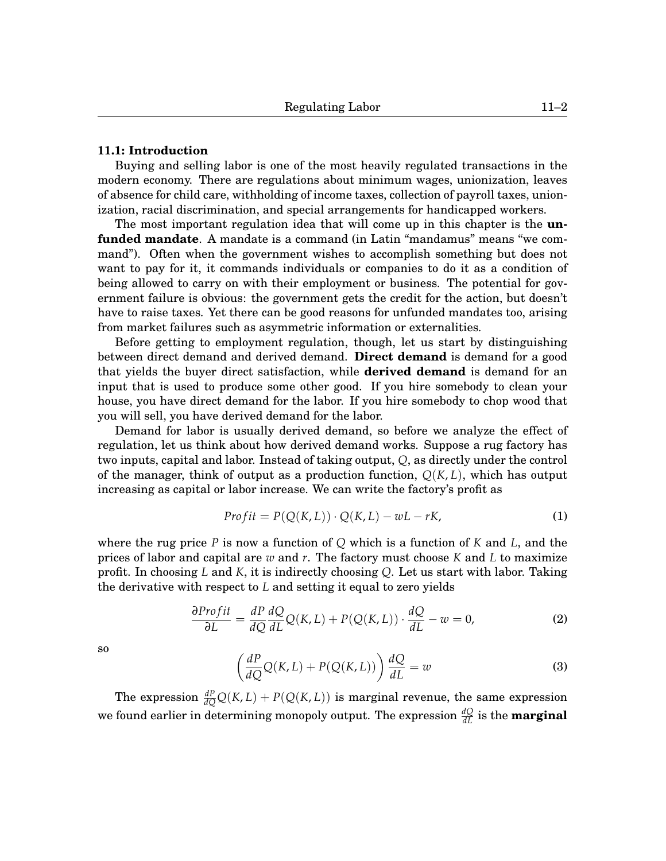## **[11.](#page-0-0)1: Introduction**

Buying and selling labor is one of the most heavily regulated transactions in the modern economy. There are regulations about minimum wages, unionization, leaves of absence for child care, withholding of income taxes, collection of payroll taxes, unionization, racial discrimination, and special arrangements for handicapped workers.

The most important regulation idea that will come up in this chapter is the **unfunded mandate**. A mandate is a command (in Latin "mandamus" means "we command"). Often when the government wishes to accomplish something but does not want to pay for it, it commands individuals or companies to do it as a condition of being allowed to carry on with their employment or business. The potential for government failure is obvious: the government gets the credit for the action, but doesn't have to raise taxes. Yet there can be good reasons for unfunded mandates too, arising from market failures such as asymmetric information or externalities.

Before getting to employment regulation, though, let us start by distinguishing between direct demand and derived demand. **Direct demand** is demand for a good that yields the buyer direct satisfaction, while **derived demand** is demand for an input that is used to produce some other good. If you hire somebody to clean your house, you have direct demand for the labor. If you hire somebody to chop wood that you will sell, you have derived demand for the labor.

Demand for labor is usually derived demand, so before we analyze the effect of regulation, let us think about how derived demand works. Suppose a rug factory has two inputs, capital and labor. Instead of taking output, *Q*, as directly under the control of the manager, think of output as a production function,  $Q(K, L)$ , which has output increasing as capital or labor increase. We can write the factory's profit as

$$
Profit = P(Q(K, L)) \cdot Q(K, L) - wL - rK,
$$
\n(1)

where the rug price *P* is now a function of *Q* which is a function of *K* and *L*, and the prices of labor and capital are *w* and *r*. The factory must choose *K* and *L* to maximize profit. In choosing *L* and *K*, it is indirectly choosing *Q*. Let us start with labor. Taking the derivative with respect to *L* and setting it equal to zero yields

$$
\frac{\partial \text{Profit}}{\partial L} = \frac{dP}{dQ} \frac{dQ}{dL} Q(K, L) + P(Q(K, L)) \cdot \frac{dQ}{dL} - w = 0,\tag{2}
$$

so

$$
\left(\frac{dP}{dQ}Q(K,L) + P(Q(K,L))\right)\frac{dQ}{dL} = w\tag{3}
$$

The expression  $\frac{dP}{dQ}Q(K, L) + P(Q(K, L))$  is marginal revenue, the same expression we found earlier in determining monopoly output. The expression  $\frac{dQ}{dL}$  is the **marginal**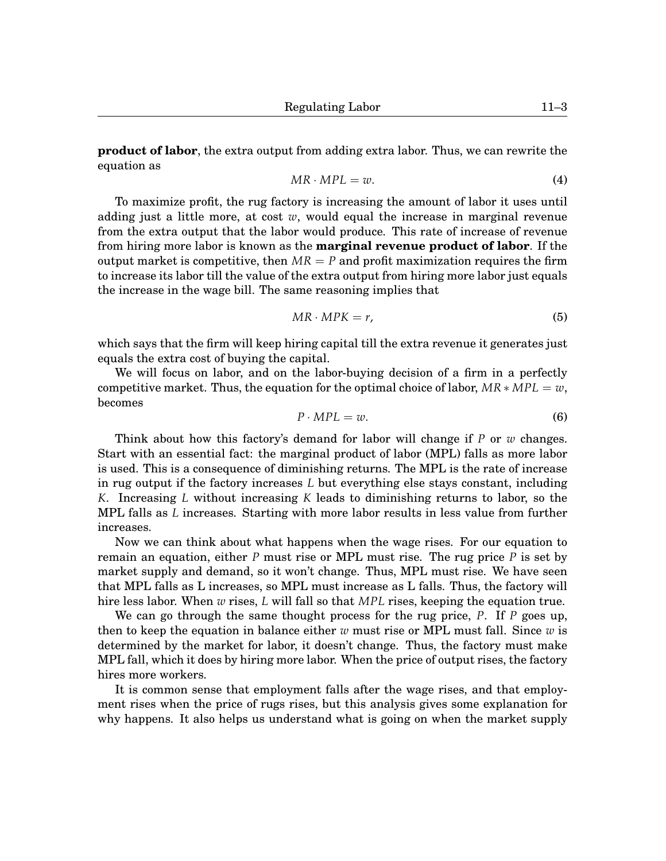**product of labor**, the extra output from adding extra labor. Thus, we can rewrite the equation as

$$
MR \cdot MPL = w. \tag{4}
$$

To maximize profit, the rug factory is increasing the amount of labor it uses until adding just a little more, at cost *w*, would equal the increase in marginal revenue from the extra output that the labor would produce. This rate of increase of revenue from hiring more labor is known as the **marginal revenue product of labor**. If the output market is competitive, then  $MR = P$  and profit maximization requires the firm to increase its labor till the value of the extra output from hiring more labor just equals the increase in the wage bill. The same reasoning implies that

$$
MR \cdot MPK = r,\tag{5}
$$

which says that the firm will keep hiring capital till the extra revenue it generates just equals the extra cost of buying the capital.

We will focus on labor, and on the labor-buying decision of a firm in a perfectly competitive market. Thus, the equation for the optimal choice of labor,  $MR * MPL = w$ , becomes

$$
P \cdot MPL = w. \tag{6}
$$

Think about how this factory's demand for labor will change if *P* or *w* changes. Start with an essential fact: the marginal product of labor (MPL) falls as more labor is used. This is a consequence of diminishing returns. The MPL is the rate of increase in rug output if the factory increases *L* but everything else stays constant, including *K*. Increasing *L* without increasing *K* leads to diminishing returns to labor, so the MPL falls as *L* increases. Starting with more labor results in less value from further increases.

Now we can think about what happens when the wage rises. For our equation to remain an equation, either *P* must rise or MPL must rise. The rug price *P* is set by market supply and demand, so it won't change. Thus, MPL must rise. We have seen that MPL falls as L increases, so MPL must increase as L falls. Thus, the factory will hire less labor. When *w* rises, *L* will fall so that *MPL* rises, keeping the equation true.

We can go through the same thought process for the rug price, *P*. If *P* goes up, then to keep the equation in balance either *w* must rise or MPL must fall. Since *w* is determined by the market for labor, it doesn't change. Thus, the factory must make MPL fall, which it does by hiring more labor. When the price of output rises, the factory hires more workers.

It is common sense that employment falls after the wage rises, and that employment rises when the price of rugs rises, but this analysis gives some explanation for why happens. It also helps us understand what is going on when the market supply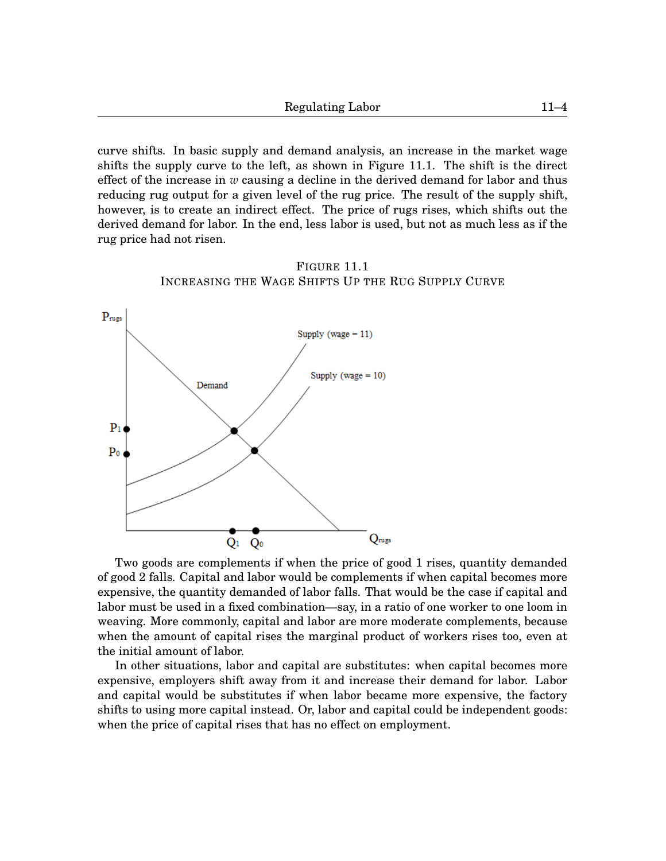curve shifts. In basic supply and demand analysis, an increase in the market wage shifts the supply curve to the left, as shown in Figure [11](#page-0-0)[.1.](#page-3-0) The shift is the direct effect of the increase in *w* causing a decline in the derived demand for labor and thus reducing rug output for a given level of the rug price. The result of the supply shift, however, is to create an indirect effect. The price of rugs rises, which shifts out the derived demand for labor. In the end, less labor is used, but not as much less as if the rug price had not risen.



<span id="page-3-0"></span>

Two goods are complements if when the price of good 1 rises, quantity demanded of good 2 falls. Capital and labor would be complements if when capital becomes more expensive, the quantity demanded of labor falls. That would be the case if capital and labor must be used in a fixed combination—say, in a ratio of one worker to one loom in weaving. More commonly, capital and labor are more moderate complements, because when the amount of capital rises the marginal product of workers rises too, even at the initial amount of labor.

In other situations, labor and capital are substitutes: when capital becomes more expensive, employers shift away from it and increase their demand for labor. Labor and capital would be substitutes if when labor became more expensive, the factory shifts to using more capital instead. Or, labor and capital could be independent goods: when the price of capital rises that has no effect on employment.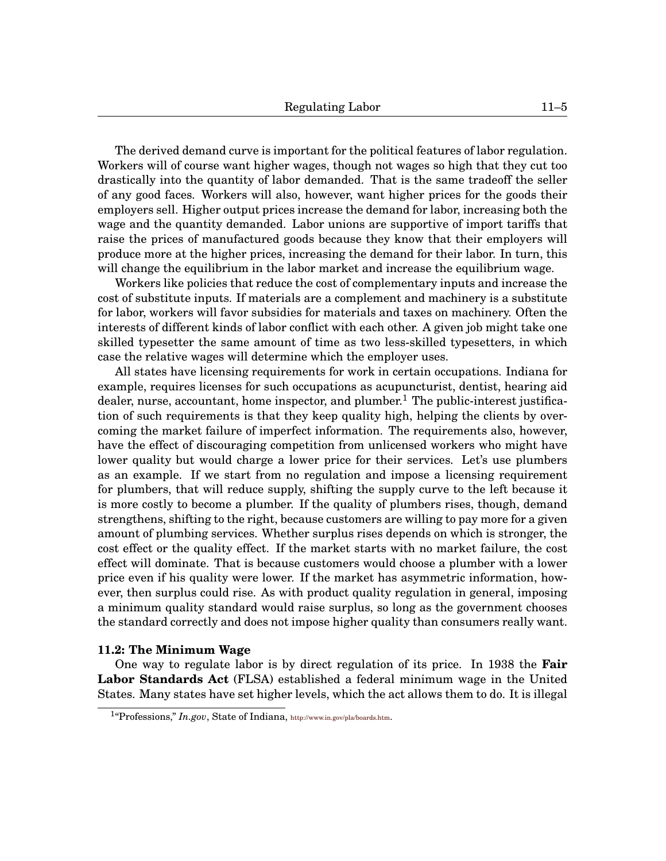The derived demand curve is important for the political features of labor regulation. Workers will of course want higher wages, though not wages so high that they cut too drastically into the quantity of labor demanded. That is the same tradeoff the seller of any good faces. Workers will also, however, want higher prices for the goods their employers sell. Higher output prices increase the demand for labor, increasing both the wage and the quantity demanded. Labor unions are supportive of import tariffs that raise the prices of manufactured goods because they know that their employers will produce more at the higher prices, increasing the demand for their labor. In turn, this will change the equilibrium in the labor market and increase the equilibrium wage.

Workers like policies that reduce the cost of complementary inputs and increase the cost of substitute inputs. If materials are a complement and machinery is a substitute for labor, workers will favor subsidies for materials and taxes on machinery. Often the interests of different kinds of labor conflict with each other. A given job might take one skilled typesetter the same amount of time as two less-skilled typesetters, in which case the relative wages will determine which the employer uses.

All states have licensing requirements for work in certain occupations. Indiana for example, requires licenses for such occupations as acupuncturist, dentist, hearing aid dealer, nurse, accountant, home inspector, and plumber.<sup>[1](#page-0-1)</sup> The public-interest justification of such requirements is that they keep quality high, helping the clients by overcoming the market failure of imperfect information. The requirements also, however, have the effect of discouraging competition from unlicensed workers who might have lower quality but would charge a lower price for their services. Let's use plumbers as an example. If we start from no regulation and impose a licensing requirement for plumbers, that will reduce supply, shifting the supply curve to the left because it is more costly to become a plumber. If the quality of plumbers rises, though, demand strengthens, shifting to the right, because customers are willing to pay more for a given amount of plumbing services. Whether surplus rises depends on which is stronger, the cost effect or the quality effect. If the market starts with no market failure, the cost effect will dominate. That is because customers would choose a plumber with a lower price even if his quality were lower. If the market has asymmetric information, however, then surplus could rise. As with product quality regulation in general, imposing a minimum quality standard would raise surplus, so long as the government chooses the standard correctly and does not impose higher quality than consumers really want.

### **[11.](#page-0-0)2: The Minimum Wage**

One way to regulate labor is by direct regulation of its price. In 1938 the **Fair Labor Standards Act** (FLSA) established a federal minimum wage in the United States. Many states have set higher levels, which the act allows them to do. It is illegal

<sup>&</sup>lt;sup>1</sup>"Professions," *In.gov*, State of Indiana, <http://www.in.gov/pla/boards.htm>.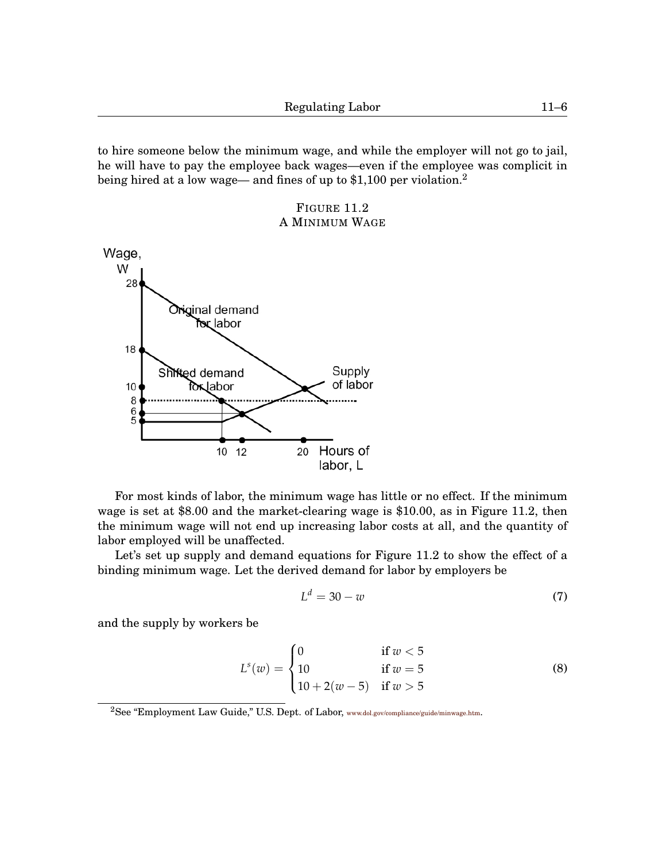to hire someone below the minimum wage, and while the employer will not go to jail, he will have to pay the employee back wages—even if the employee was complicit in being hired at a low wage— and fines of up to \$1,100 per violation.<sup>[2](#page-0-1)</sup>



<span id="page-5-0"></span>

For most kinds of labor, the minimum wage has little or no effect. If the minimum wage is set at \$8.00 and the market-clearing wage is \$10.00, as in Figure [11.](#page-0-0)[2,](#page-5-0) then the minimum wage will not end up increasing labor costs at all, and the quantity of labor employed will be unaffected.

Let's set up supply and demand equations for Figure [11.](#page-0-0)[2](#page-5-0) to show the effect of a binding minimum wage. Let the derived demand for labor by employers be

$$
L^d = 30 - w \tag{7}
$$

and the supply by workers be

$$
L^{s}(w) = \begin{cases} 0 & \text{if } w < 5\\ 10 & \text{if } w = 5\\ 10 + 2(w - 5) & \text{if } w > 5 \end{cases}
$$
(8)

<sup>2</sup>See "Employment Law Guide," U.S. Dept. of Labor, <www.dol.gov/compliance/guide/minwage.htm>.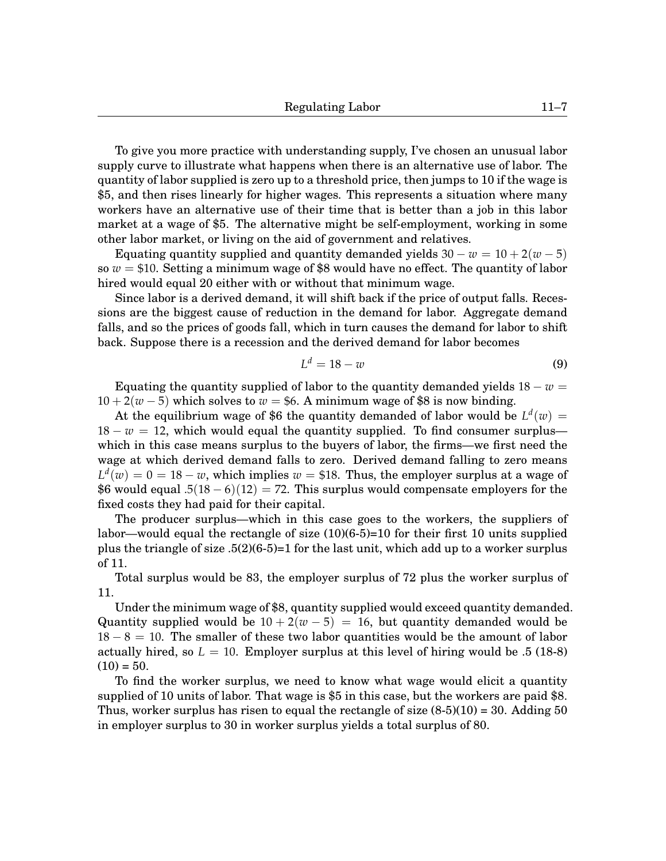To give you more practice with understanding supply, I've chosen an unusual labor supply curve to illustrate what happens when there is an alternative use of labor. The quantity of labor supplied is zero up to a threshold price, then jumps to 10 if the wage is \$5, and then rises linearly for higher wages. This represents a situation where many workers have an alternative use of their time that is better than a job in this labor market at a wage of \$5. The alternative might be self-employment, working in some other labor market, or living on the aid of government and relatives.

Equating quantity supplied and quantity demanded yields  $30 - w = 10 + 2(w - 5)$ so  $w = $10$ . Setting a minimum wage of \$8 would have no effect. The quantity of labor hired would equal 20 either with or without that minimum wage.

Since labor is a derived demand, it will shift back if the price of output falls. Recessions are the biggest cause of reduction in the demand for labor. Aggregate demand falls, and so the prices of goods fall, which in turn causes the demand for labor to shift back. Suppose there is a recession and the derived demand for labor becomes

$$
L^d = 18 - w \tag{9}
$$

Equating the quantity supplied of labor to the quantity demanded yields  $18 - w =$  $10 + 2(w - 5)$  which solves to  $w = $6$ . A minimum wage of \$8 is now binding.

At the equilibrium wage of \$6 the quantity demanded of labor would be  $L^d(w) =$  $18 - w = 12$ , which would equal the quantity supplied. To find consumer surplus which in this case means surplus to the buyers of labor, the firms—we first need the wage at which derived demand falls to zero. Derived demand falling to zero means  $L^d(w) = 0 = 18 - w$ , which implies  $w = $18$ . Thus, the employer surplus at a wage of \$6 would equal  $.5(18-6)(12) = 72$ . This surplus would compensate employers for the fixed costs they had paid for their capital.

The producer surplus—which in this case goes to the workers, the suppliers of labor—would equal the rectangle of size (10)(6-5)=10 for their first 10 units supplied plus the triangle of size .5(2)(6-5)=1 for the last unit, which add up to a worker surplus of 11.

Total surplus would be 83, the employer surplus of 72 plus the worker surplus of 11.

Under the minimum wage of \$8, quantity supplied would exceed quantity demanded. Quantity supplied would be  $10 + 2(w - 5) = 16$ , but quantity demanded would be  $18 - 8 = 10$ . The smaller of these two labor quantities would be the amount of labor actually hired, so  $L = 10$ . Employer surplus at this level of hiring would be .5 (18-8)  $(10) = 50.$ 

To find the worker surplus, we need to know what wage would elicit a quantity supplied of 10 units of labor. That wage is \$5 in this case, but the workers are paid \$8. Thus, worker surplus has risen to equal the rectangle of size  $(8-5)(10) = 30$ . Adding 50 in employer surplus to 30 in worker surplus yields a total surplus of 80.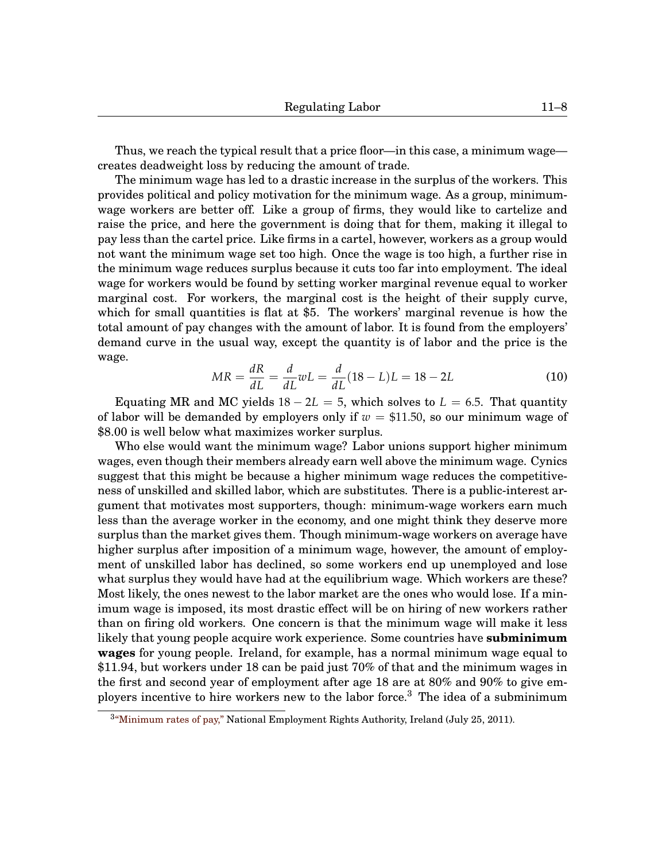Thus, we reach the typical result that a price floor—in this case, a minimum wage creates deadweight loss by reducing the amount of trade.

The minimum wage has led to a drastic increase in the surplus of the workers. This provides political and policy motivation for the minimum wage. As a group, minimumwage workers are better off. Like a group of firms, they would like to cartelize and raise the price, and here the government is doing that for them, making it illegal to pay less than the cartel price. Like firms in a cartel, however, workers as a group would not want the minimum wage set too high. Once the wage is too high, a further rise in the minimum wage reduces surplus because it cuts too far into employment. The ideal wage for workers would be found by setting worker marginal revenue equal to worker marginal cost. For workers, the marginal cost is the height of their supply curve, which for small quantities is flat at \$5. The workers' marginal revenue is how the total amount of pay changes with the amount of labor. It is found from the employers' demand curve in the usual way, except the quantity is of labor and the price is the wage.

$$
MR = \frac{dR}{dL} = \frac{d}{dL}wL = \frac{d}{dL}(18 - L)L = 18 - 2L
$$
 (10)

Equating MR and MC yields  $18 - 2L = 5$ , which solves to  $L = 6.5$ . That quantity of labor will be demanded by employers only if  $w = $11.50$ , so our minimum wage of \$8.00 is well below what maximizes worker surplus.

Who else would want the minimum wage? Labor unions support higher minimum wages, even though their members already earn well above the minimum wage. Cynics suggest that this might be because a higher minimum wage reduces the competitiveness of unskilled and skilled labor, which are substitutes. There is a public-interest argument that motivates most supporters, though: minimum-wage workers earn much less than the average worker in the economy, and one might think they deserve more surplus than the market gives them. Though minimum-wage workers on average have higher surplus after imposition of a minimum wage, however, the amount of employment of unskilled labor has declined, so some workers end up unemployed and lose what surplus they would have had at the equilibrium wage. Which workers are these? Most likely, the ones newest to the labor market are the ones who would lose. If a minimum wage is imposed, its most drastic effect will be on hiring of new workers rather than on firing old workers. One concern is that the minimum wage will make it less likely that young people acquire work experience. Some countries have **subminimum wages** for young people. Ireland, for example, has a normal minimum wage equal to \$11.94, but workers under 18 can be paid just 70% of that and the minimum wages in the first and second year of employment after age 18 are at 80% and 90% to give employers incentive to hire workers new to the labor force.[3](#page-0-1) The idea of a subminimum

 $34$ <sup>3</sup> Minimum rates of pay," National Employment Rights Authority, Ireland (July 25, 2011).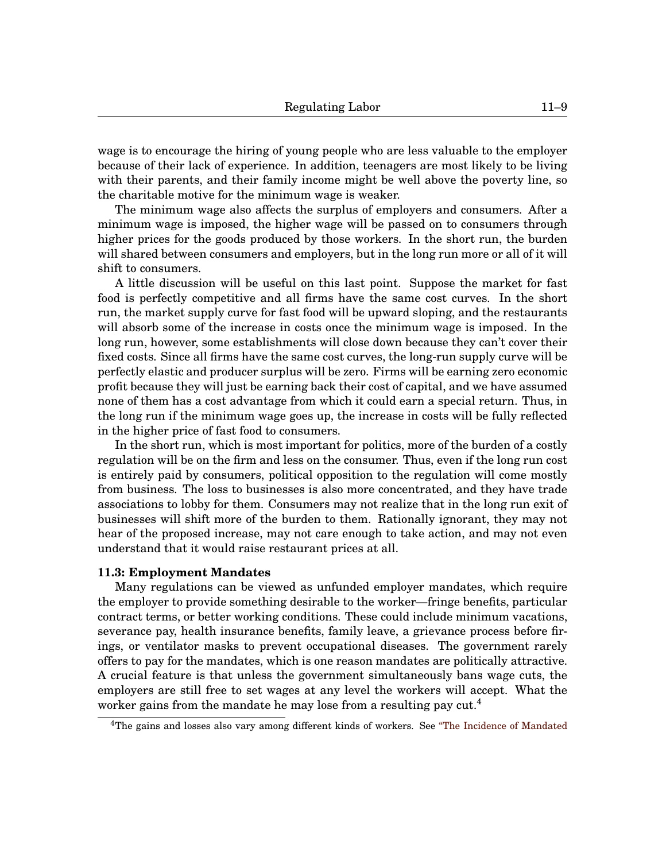wage is to encourage the hiring of young people who are less valuable to the employer because of their lack of experience. In addition, teenagers are most likely to be living with their parents, and their family income might be well above the poverty line, so the charitable motive for the minimum wage is weaker.

The minimum wage also affects the surplus of employers and consumers. After a minimum wage is imposed, the higher wage will be passed on to consumers through higher prices for the goods produced by those workers. In the short run, the burden will shared between consumers and employers, but in the long run more or all of it will shift to consumers.

A little discussion will be useful on this last point. Suppose the market for fast food is perfectly competitive and all firms have the same cost curves. In the short run, the market supply curve for fast food will be upward sloping, and the restaurants will absorb some of the increase in costs once the minimum wage is imposed. In the long run, however, some establishments will close down because they can't cover their fixed costs. Since all firms have the same cost curves, the long-run supply curve will be perfectly elastic and producer surplus will be zero. Firms will be earning zero economic profit because they will just be earning back their cost of capital, and we have assumed none of them has a cost advantage from which it could earn a special return. Thus, in the long run if the minimum wage goes up, the increase in costs will be fully reflected in the higher price of fast food to consumers.

In the short run, which is most important for politics, more of the burden of a costly regulation will be on the firm and less on the consumer. Thus, even if the long run cost is entirely paid by consumers, political opposition to the regulation will come mostly from business. The loss to businesses is also more concentrated, and they have trade associations to lobby for them. Consumers may not realize that in the long run exit of businesses will shift more of the burden to them. Rationally ignorant, they may not hear of the proposed increase, may not care enough to take action, and may not even understand that it would raise restaurant prices at all.

### **[11.](#page-0-0)3: Employment Mandates**

Many regulations can be viewed as unfunded employer mandates, which require the employer to provide something desirable to the worker—fringe benefits, particular contract terms, or better working conditions. These could include minimum vacations, severance pay, health insurance benefits, family leave, a grievance process before firings, or ventilator masks to prevent occupational diseases. The government rarely offers to pay for the mandates, which is one reason mandates are politically attractive. A crucial feature is that unless the government simultaneously bans wage cuts, the employers are still free to set wages at any level the workers will accept. What the worker gains from the mandate he may lose from a resulting pay  $\text{cut.}^4$  $\text{cut.}^4$ 

<sup>&</sup>lt;sup>4</sup>The gains and losses also vary among different kinds of workers. See ["The Incidence of Mandated](http://www.jstor.org/stable/2118071)"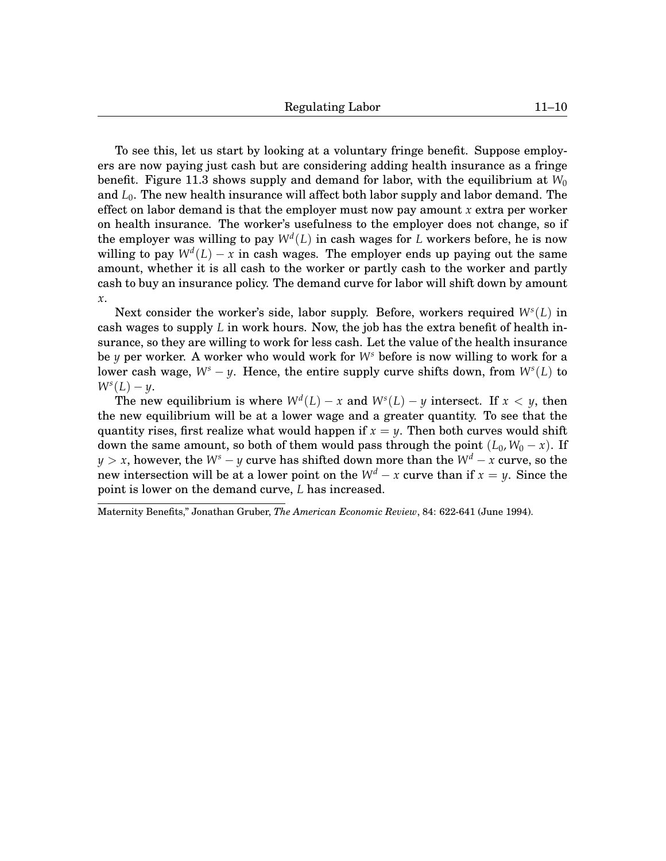[To see this, let us start by looking at a voluntary fringe benefit. Suppose employ](http://www.jstor.org/stable/2118071)[ers are now paying just cash but are considering adding health insurance as a fringe](http://www.jstor.org/stable/2118071) benefit. Figure [11.](#page-0-0)[3](#page-10-0) [shows supply and demand for labor, with the equilibrium at](http://www.jstor.org/stable/2118071)  $W_0$ and *L*0[. The new health insurance will affect both labor supply and labor demand. The](http://www.jstor.org/stable/2118071) [effect on labor demand is that the employer must now pay amount](http://www.jstor.org/stable/2118071) *x* extra per worker [on health insurance. The worker's usefulness to the employer does not change, so if](http://www.jstor.org/stable/2118071) [the employer was willing to pay](http://www.jstor.org/stable/2118071)  $W^d(L)$  in cash wages for  $L$  workers before, he is now willing to pay  $W^d(L) - x$  [in cash wages. The employer ends up paying out the same](http://www.jstor.org/stable/2118071) [amount, whether it is all cash to the worker or partly cash to the worker and partly](http://www.jstor.org/stable/2118071) [cash to buy an insurance policy. The demand curve for labor will shift down by amount](http://www.jstor.org/stable/2118071) *[x](http://www.jstor.org/stable/2118071)*.

[Next consider the worker's side, labor supply. Before, workers required](http://www.jstor.org/stable/2118071) *W<sup>s</sup>* (*L*) in cash wages to supply *L* [in work hours. Now, the job has the extra benefit of health in](http://www.jstor.org/stable/2118071)[surance, so they are willing to work for less cash. Let the value of the health insurance](http://www.jstor.org/stable/2118071) be *y* [per worker. A worker who would work for](http://www.jstor.org/stable/2118071) *W<sup>s</sup>* before is now willing to work for a lower cash wage, *W<sup>s</sup>* − *y*[. Hence, the entire supply curve shifts down, from](http://www.jstor.org/stable/2118071) *W<sup>s</sup>* (*L*) to  $W^s(L) - y$  $W^s(L) - y$ .

[The new equilibrium is where](http://www.jstor.org/stable/2118071)  $W^{d}(L) - x$  and  $W^{s}(L) - y$  intersect. If  $x < y$ , then [the new equilibrium will be at a lower wage and a greater quantity. To see that the](http://www.jstor.org/stable/2118071) [quantity rises, first realize what would happen if](http://www.jstor.org/stable/2118071)  $x = y$ . Then both curves would shift [down the same amount, so both of them would pass through the point](http://www.jstor.org/stable/2118071)  $(L_0, W_0 - x)$ . If *y* > *x*, however, the *W<sup>s</sup>* − *y* [curve has shifted down more than the](http://www.jstor.org/stable/2118071) *W<sup>d</sup>* − *x* curve, so the [new intersection will be at a lower point on the](http://www.jstor.org/stable/2118071)  $W^d - x$  curve than if  $x = y$ . Since the [point is lower on the demand curve,](http://www.jstor.org/stable/2118071) *L* has increased.

[Maternity Benefits,"](http://www.jstor.org/stable/2118071) Jonathan Gruber, *The American Economic Review*, 84: 622-641 (June 1994).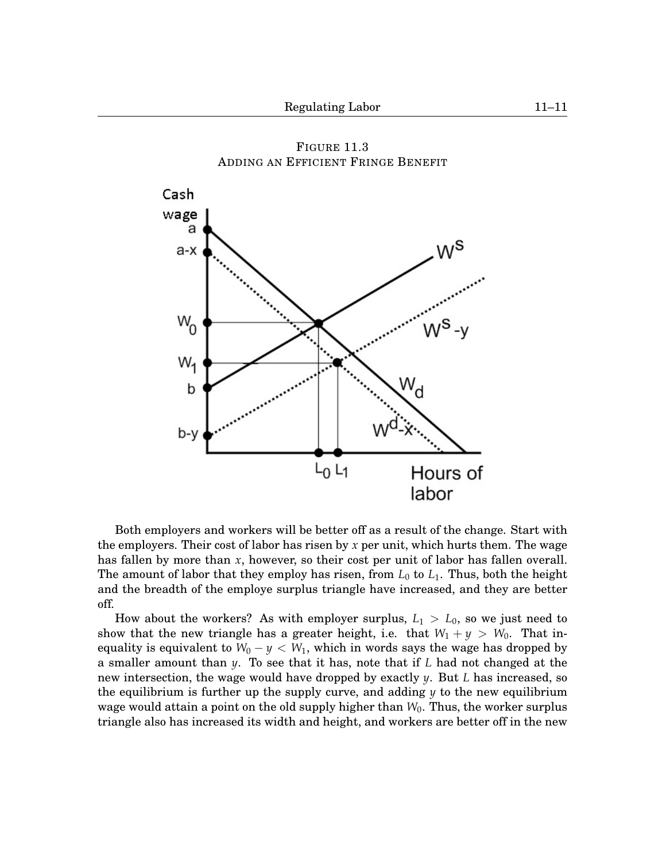<span id="page-10-0"></span>

FIGURE [11.](#page-0-0)[3](#page-10-0) ADDING AN EFFICIENT FRINGE BENEFIT

Both employers and workers will be better off as a result of the change. Start with the employers. Their cost of labor has risen by *x* per unit, which hurts them. The wage has fallen by more than *x*, however, so their cost per unit of labor has fallen overall. The amount of labor that they employ has risen, from  $L_0$  to  $L_1$ . Thus, both the height and the breadth of the employe surplus triangle have increased, and they are better off.

How about the workers? As with employer surplus, *L*<sup>1</sup> > *L*0, so we just need to show that the new triangle has a greater height, i.e. that  $W_1 + y > W_0$ . That inequality is equivalent to  $W_0 - y < W_1$ , which in words says the wage has dropped by a smaller amount than *y*. To see that it has, note that if *L* had not changed at the new intersection, the wage would have dropped by exactly *y*. But *L* has increased, so the equilibrium is further up the supply curve, and adding  $\gamma$  to the new equilibrium wage would attain a point on the old supply higher than *W*0. Thus, the worker surplus triangle also has increased its width and height, and workers are better off in the new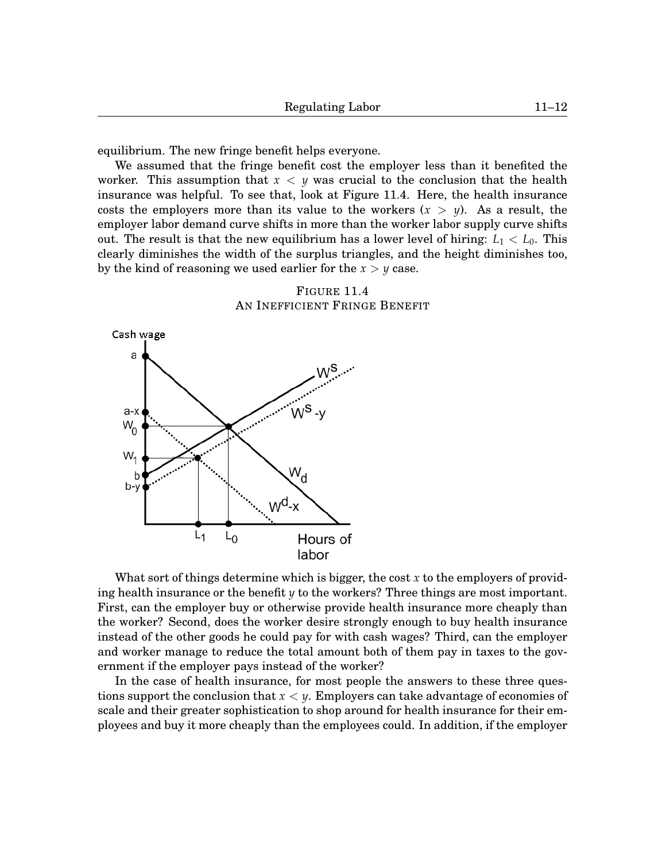equilibrium. The new fringe benefit helps everyone.

We assumed that the fringe benefit cost the employer less than it benefited the worker. This assumption that *x* < *y* was crucial to the conclusion that the health insurance was helpful. To see that, look at Figure [11.](#page-0-0)[4.](#page-11-0) Here, the health insurance costs the employers more than its value to the workers  $(x > y)$ . As a result, the employer labor demand curve shifts in more than the worker labor supply curve shifts out. The result is that the new equilibrium has a lower level of hiring:  $L_1 < L_0$ . This clearly diminishes the width of the surplus triangles, and the height diminishes too, by the kind of reasoning we used earlier for the  $x > y$  case.

<span id="page-11-0"></span>



What sort of things determine which is bigger, the cost *x* to the employers of providing health insurance or the benefit *y* to the workers? Three things are most important. First, can the employer buy or otherwise provide health insurance more cheaply than the worker? Second, does the worker desire strongly enough to buy health insurance instead of the other goods he could pay for with cash wages? Third, can the employer and worker manage to reduce the total amount both of them pay in taxes to the government if the employer pays instead of the worker?

In the case of health insurance, for most people the answers to these three questions support the conclusion that *x* < *y*. Employers can take advantage of economies of scale and their greater sophistication to shop around for health insurance for their employees and buy it more cheaply than the employees could. In addition, if the employer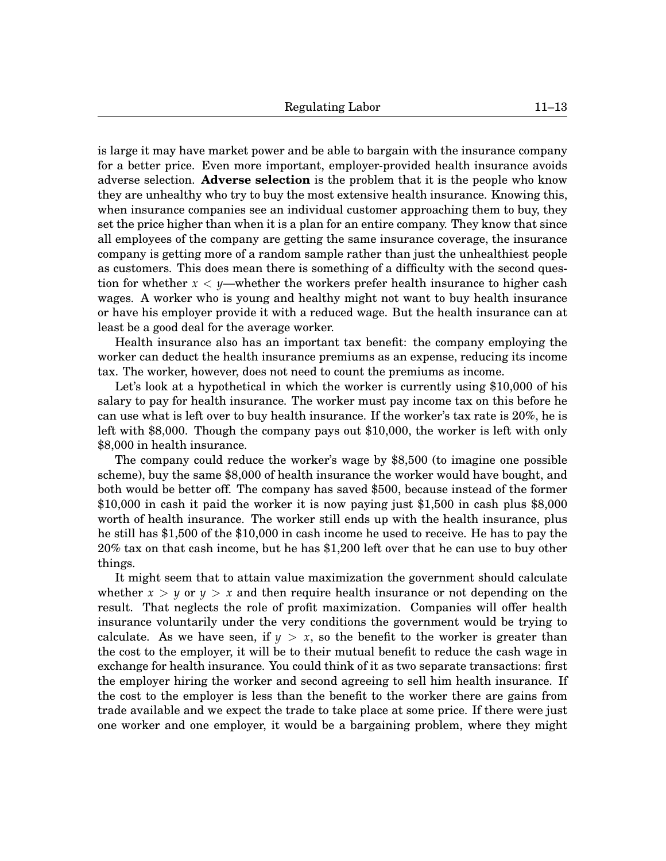is large it may have market power and be able to bargain with the insurance company for a better price. Even more important, employer-provided health insurance avoids adverse selection. **Adverse selection** is the problem that it is the people who know they are unhealthy who try to buy the most extensive health insurance. Knowing this, when insurance companies see an individual customer approaching them to buy, they set the price higher than when it is a plan for an entire company. They know that since all employees of the company are getting the same insurance coverage, the insurance company is getting more of a random sample rather than just the unhealthiest people as customers. This does mean there is something of a difficulty with the second question for whether *x* < *y*—whether the workers prefer health insurance to higher cash wages. A worker who is young and healthy might not want to buy health insurance or have his employer provide it with a reduced wage. But the health insurance can at least be a good deal for the average worker.

Health insurance also has an important tax benefit: the company employing the worker can deduct the health insurance premiums as an expense, reducing its income tax. The worker, however, does not need to count the premiums as income.

Let's look at a hypothetical in which the worker is currently using \$10,000 of his salary to pay for health insurance. The worker must pay income tax on this before he can use what is left over to buy health insurance. If the worker's tax rate is 20%, he is left with \$8,000. Though the company pays out \$10,000, the worker is left with only \$8,000 in health insurance.

The company could reduce the worker's wage by \$8,500 (to imagine one possible scheme), buy the same \$8,000 of health insurance the worker would have bought, and both would be better off. The company has saved \$500, because instead of the former \$10,000 in cash it paid the worker it is now paying just \$1,500 in cash plus \$8,000 worth of health insurance. The worker still ends up with the health insurance, plus he still has \$1,500 of the \$10,000 in cash income he used to receive. He has to pay the 20% tax on that cash income, but he has \$1,200 left over that he can use to buy other things.

It might seem that to attain value maximization the government should calculate whether  $x > y$  or  $y > x$  and then require health insurance or not depending on the result. That neglects the role of profit maximization. Companies will offer health insurance voluntarily under the very conditions the government would be trying to calculate. As we have seen, if  $y > x$ , so the benefit to the worker is greater than the cost to the employer, it will be to their mutual benefit to reduce the cash wage in exchange for health insurance. You could think of it as two separate transactions: first the employer hiring the worker and second agreeing to sell him health insurance. If the cost to the employer is less than the benefit to the worker there are gains from trade available and we expect the trade to take place at some price. If there were just one worker and one employer, it would be a bargaining problem, where they might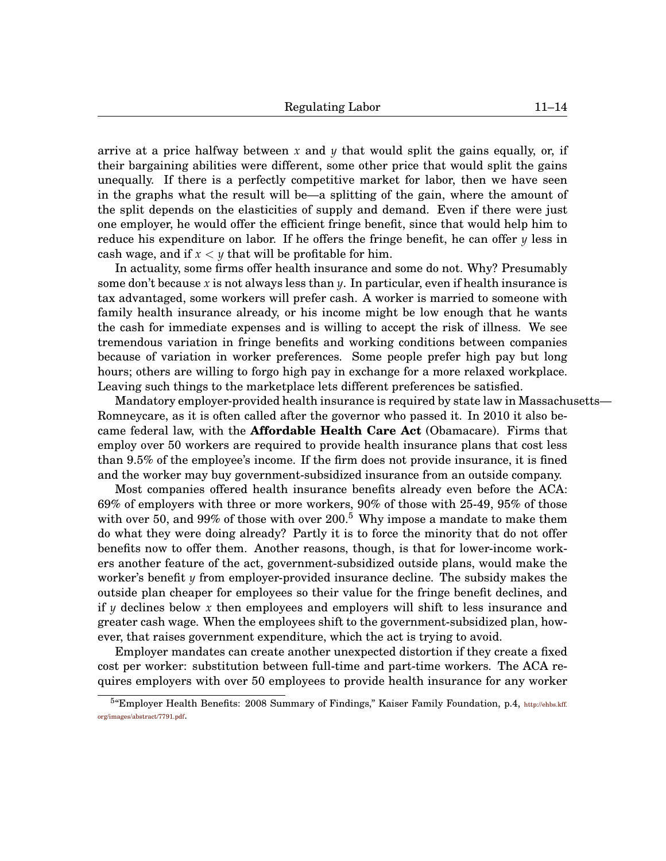arrive at a price halfway between x and  $\gamma$  that would split the gains equally, or, if their bargaining abilities were different, some other price that would split the gains unequally. If there is a perfectly competitive market for labor, then we have seen in the graphs what the result will be—a splitting of the gain, where the amount of the split depends on the elasticities of supply and demand. Even if there were just one employer, he would offer the efficient fringe benefit, since that would help him to reduce his expenditure on labor. If he offers the fringe benefit, he can offer *y* less in cash wage, and if  $x < y$  that will be profitable for him.

In actuality, some firms offer health insurance and some do not. Why? Presumably some don't because *x* is not always less than *y*. In particular, even if health insurance is tax advantaged, some workers will prefer cash. A worker is married to someone with family health insurance already, or his income might be low enough that he wants the cash for immediate expenses and is willing to accept the risk of illness. We see tremendous variation in fringe benefits and working conditions between companies because of variation in worker preferences. Some people prefer high pay but long hours; others are willing to forgo high pay in exchange for a more relaxed workplace. Leaving such things to the marketplace lets different preferences be satisfied.

Mandatory employer-provided health insurance is required by state law in Massachusetts— Romneycare, as it is often called after the governor who passed it. In 2010 it also became federal law, with the **Affordable Health Care Act** (Obamacare). Firms that employ over 50 workers are required to provide health insurance plans that cost less than 9.5% of the employee's income. If the firm does not provide insurance, it is fined and the worker may buy government-subsidized insurance from an outside company.

Most companies offered health insurance benefits already even before the ACA: 69% of employers with three or more workers, 90% of those with 25-49, 95% of those with over [5](#page-0-1)0, and 99% of those with over  $200<sup>5</sup>$  Why impose a mandate to make them do what they were doing already? Partly it is to force the minority that do not offer benefits now to offer them. Another reasons, though, is that for lower-income workers another feature of the act, government-subsidized outside plans, would make the worker's benefit *y* from employer-provided insurance decline. The subsidy makes the outside plan cheaper for employees so their value for the fringe benefit declines, and if *y* declines below *x* then employees and employers will shift to less insurance and greater cash wage. When the employees shift to the government-subsidized plan, however, that raises government expenditure, which the act is trying to avoid.

Employer mandates can create another unexpected distortion if they create a fixed cost per worker: substitution between full-time and part-time workers. The ACA requires employers with over 50 employees to provide health insurance for any worker

<sup>&</sup>lt;sup>5</sup> Employer Health Benefits: 2008 Summary of Findings," Kaiser Family Foundation, p.4, [http://ehbs.kff.](http://ehbs.kff.org/images/abstract/7791.pdf) [org/images/abstract/7791.pdf](http://ehbs.kff.org/images/abstract/7791.pdf).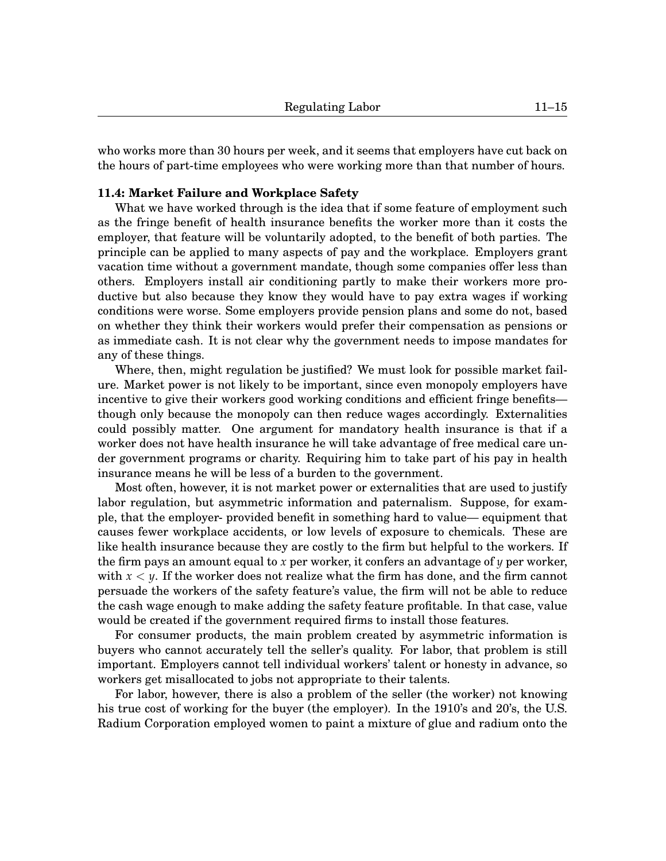who works more than 30 hours per week, and it seems that employers have cut back on the hours of part-time employees who were working more than that number of hours.

## **[11.](#page-0-0)4: Market Failure and Workplace Safety**

What we have worked through is the idea that if some feature of employment such as the fringe benefit of health insurance benefits the worker more than it costs the employer, that feature will be voluntarily adopted, to the benefit of both parties. The principle can be applied to many aspects of pay and the workplace. Employers grant vacation time without a government mandate, though some companies offer less than others. Employers install air conditioning partly to make their workers more productive but also because they know they would have to pay extra wages if working conditions were worse. Some employers provide pension plans and some do not, based on whether they think their workers would prefer their compensation as pensions or as immediate cash. It is not clear why the government needs to impose mandates for any of these things.

Where, then, might regulation be justified? We must look for possible market failure. Market power is not likely to be important, since even monopoly employers have incentive to give their workers good working conditions and efficient fringe benefits though only because the monopoly can then reduce wages accordingly. Externalities could possibly matter. One argument for mandatory health insurance is that if a worker does not have health insurance he will take advantage of free medical care under government programs or charity. Requiring him to take part of his pay in health insurance means he will be less of a burden to the government.

Most often, however, it is not market power or externalities that are used to justify labor regulation, but asymmetric information and paternalism. Suppose, for example, that the employer- provided benefit in something hard to value— equipment that causes fewer workplace accidents, or low levels of exposure to chemicals. These are like health insurance because they are costly to the firm but helpful to the workers. If the firm pays an amount equal to *x* per worker, it confers an advantage of  $\gamma$  per worker, with  $x < y$ . If the worker does not realize what the firm has done, and the firm cannot persuade the workers of the safety feature's value, the firm will not be able to reduce the cash wage enough to make adding the safety feature profitable. In that case, value would be created if the government required firms to install those features.

For consumer products, the main problem created by asymmetric information is buyers who cannot accurately tell the seller's quality. For labor, that problem is still important. Employers cannot tell individual workers' talent or honesty in advance, so workers get misallocated to jobs not appropriate to their talents.

For labor, however, there is also a problem of the seller (the worker) not knowing his true cost of working for the buyer (the employer). In the 1910's and 20's, the U.S. Radium Corporation employed women to paint a mixture of glue and radium onto the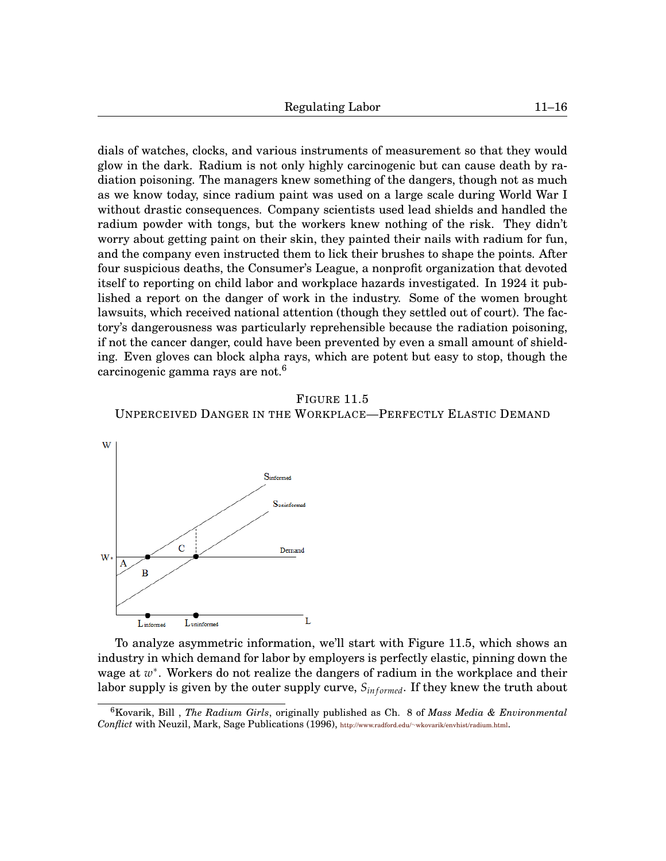dials of watches, clocks, and various instruments of measurement so that they would glow in the dark. Radium is not only highly carcinogenic but can cause death by radiation poisoning. The managers knew something of the dangers, though not as much as we know today, since radium paint was used on a large scale during World War I without drastic consequences. Company scientists used lead shields and handled the radium powder with tongs, but the workers knew nothing of the risk. They didn't worry about getting paint on their skin, they painted their nails with radium for fun, and the company even instructed them to lick their brushes to shape the points. After four suspicious deaths, the Consumer's League, a nonprofit organization that devoted itself to reporting on child labor and workplace hazards investigated. In 1924 it published a report on the danger of work in the industry. Some of the women brought lawsuits, which received national attention (though they settled out of court). The factory's dangerousness was particularly reprehensible because the radiation poisoning, if not the cancer danger, could have been prevented by even a small amount of shielding. Even gloves can block alpha rays, which are potent but easy to stop, though the carcinogenic gamma rays are not.<sup>[6](#page-0-1)</sup>

FIGURE [11.](#page-0-0)[5](#page-15-0) UNPERCEIVED DANGER IN THE WORKPLACE—PERFECTLY ELASTIC DEMAND

<span id="page-15-0"></span>

To analyze asymmetric information, we'll start with Figure [11.](#page-0-0)[5,](#page-15-0) which shows an industry in which demand for labor by employers is perfectly elastic, pinning down the wage at w<sup>\*</sup>. Workers do not realize the dangers of radium in the workplace and their labor supply is given by the outer supply curve,  $S_{informed}$ . If they knew the truth about

<sup>6</sup>Kovarik, Bill , *The Radium Girls*, originally published as Ch. 8 of *Mass Media & Environmental Conflict* with Neuzil, Mark, Sage Publications (1996), http://www.radford.edu/∼[wkovarik/envhist/radium.html](http://www.radford.edu/~wkovarik/envhist/radium.html).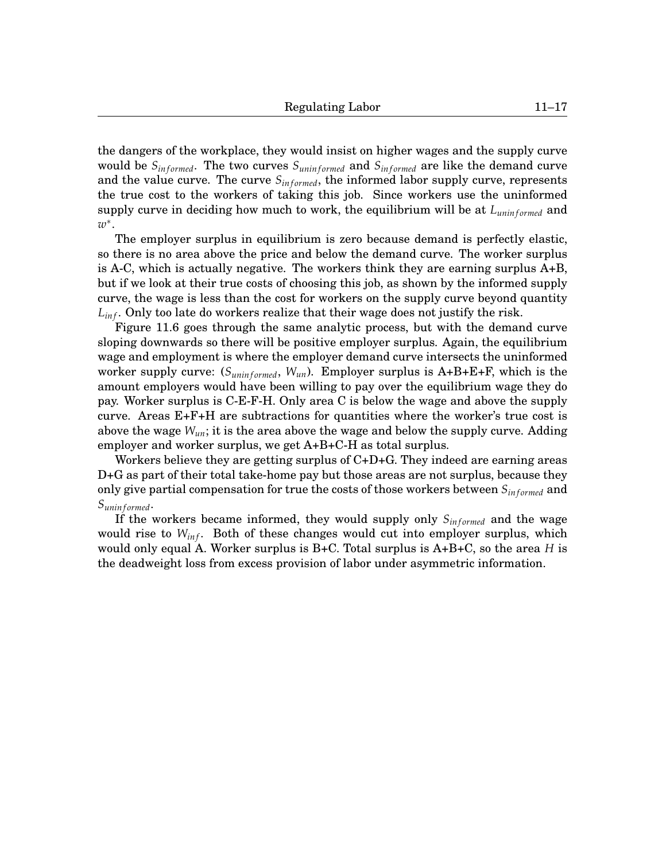the dangers of the workplace, they would insist on higher wages and the supply curve would be  $S_{informed}$ . The two curves  $S_{uninformed}$  and  $S_{informed}$  are like the demand curve and the value curve. The curve  $S_{informed}$ , the informed labor supply curve, represents the true cost to the workers of taking this job. Since workers use the uninformed supply curve in deciding how much to work, the equilibrium will be at  $L_{uniformed}$  and *w* ∗ .

The employer surplus in equilibrium is zero because demand is perfectly elastic, so there is no area above the price and below the demand curve. The worker surplus is A-C, which is actually negative. The workers think they are earning surplus A+B, but if we look at their true costs of choosing this job, as shown by the informed supply curve, the wage is less than the cost for workers on the supply curve beyond quantity  $L_{inf}$ . Only too late do workers realize that their wage does not justify the risk.

Figure [11.](#page-0-0)[6](#page-17-0) goes through the same analytic process, but with the demand curve sloping downwards so there will be positive employer surplus. Again, the equilibrium wage and employment is where the employer demand curve intersects the uninformed worker supply curve:  $(S_{uninformed}, W_{un})$ . Employer surplus is A+B+E+F, which is the amount employers would have been willing to pay over the equilibrium wage they do pay. Worker surplus is C-E-F-H. Only area C is below the wage and above the supply curve. Areas E+F+H are subtractions for quantities where the worker's true cost is above the wage  $W_{un}$ ; it is the area above the wage and below the supply curve. Adding employer and worker surplus, we get A+B+C-H as total surplus.

Workers believe they are getting surplus of C+D+G. They indeed are earning areas D+G as part of their total take-home pay but those areas are not surplus, because they only give partial compensation for true the costs of those workers between  $S_{informed}$  and *Sunin f ormed*.

If the workers became informed, they would supply only  $S_{informed}$  and the wage would rise to  $W_{inf}$ . Both of these changes would cut into employer surplus, which would only equal A. Worker surplus is B+C. Total surplus is A+B+C, so the area *H* is the deadweight loss from excess provision of labor under asymmetric information.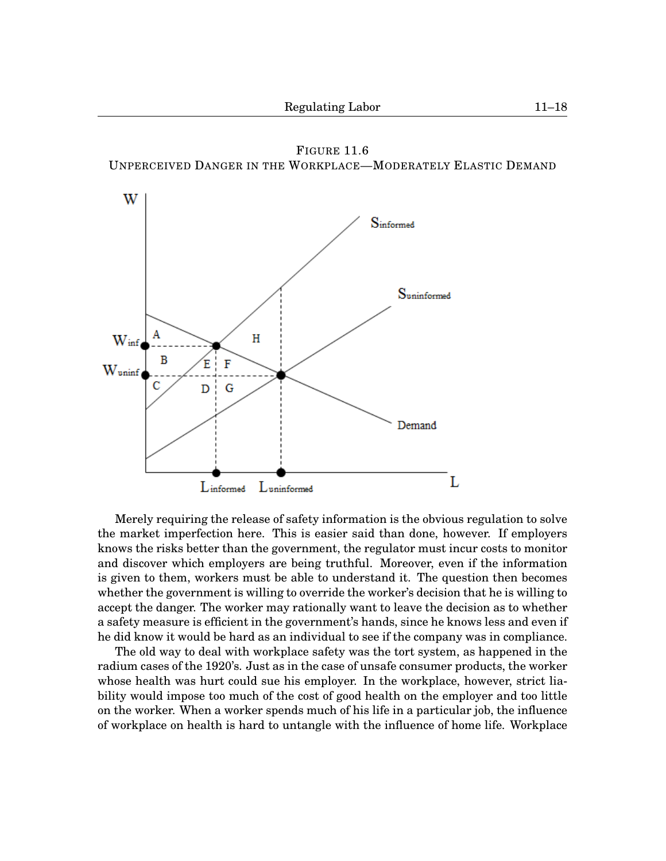FIGURE [11.](#page-0-0)[6](#page-17-0) UNPERCEIVED DANGER IN THE WORKPLACE—MODERATELY ELASTIC DEMAND

<span id="page-17-0"></span>

Merely requiring the release of safety information is the obvious regulation to solve the market imperfection here. This is easier said than done, however. If employers knows the risks better than the government, the regulator must incur costs to monitor and discover which employers are being truthful. Moreover, even if the information is given to them, workers must be able to understand it. The question then becomes whether the government is willing to override the worker's decision that he is willing to accept the danger. The worker may rationally want to leave the decision as to whether a safety measure is efficient in the government's hands, since he knows less and even if he did know it would be hard as an individual to see if the company was in compliance.

The old way to deal with workplace safety was the tort system, as happened in the radium cases of the 1920's. Just as in the case of unsafe consumer products, the worker whose health was hurt could sue his employer. In the workplace, however, strict liability would impose too much of the cost of good health on the employer and too little on the worker. When a worker spends much of his life in a particular job, the influence of workplace on health is hard to untangle with the influence of home life. Workplace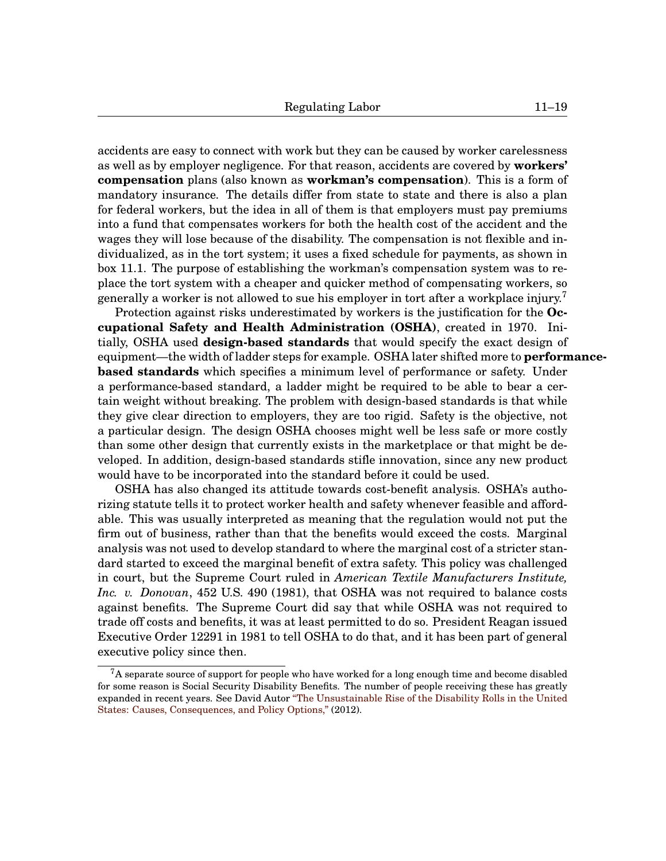accidents are easy to connect with work but they can be caused by worker carelessness as well as by employer negligence. For that reason, accidents are covered by **workers' compensation** plans (also known as **workman's compensation**). This is a form of mandatory insurance. The details differ from state to state and there is also a plan for federal workers, but the idea in all of them is that employers must pay premiums into a fund that compensates workers for both the health cost of the accident and the wages they will lose because of the disability. The compensation is not flexible and individualized, as in the tort system; it uses a fixed schedule for payments, as shown in box [11.](#page-0-0)[1.](#page-19-0) The purpose of establishing the workman's compensation system was to replace the tort system with a cheaper and quicker method of compensating workers, so generally a worker is not allowed to sue his employer in tort after a workplace injury.<sup>[7](#page-0-1)</sup>

Protection against risks underestimated by workers is the justification for the **Occupational Safety and Health Administration (OSHA)**, created in 1970. Initially, OSHA used **design-based standards** that would specify the exact design of equipment—the width of ladder steps for example. OSHA later shifted more to **performancebased standards** which specifies a minimum level of performance or safety. Under a performance-based standard, a ladder might be required to be able to bear a certain weight without breaking. The problem with design-based standards is that while they give clear direction to employers, they are too rigid. Safety is the objective, not a particular design. The design OSHA chooses might well be less safe or more costly than some other design that currently exists in the marketplace or that might be developed. In addition, design-based standards stifle innovation, since any new product would have to be incorporated into the standard before it could be used.

OSHA has also changed its attitude towards cost-benefit analysis. OSHA's authorizing statute tells it to protect worker health and safety whenever feasible and affordable. This was usually interpreted as meaning that the regulation would not put the firm out of business, rather than that the benefits would exceed the costs. Marginal analysis was not used to develop standard to where the marginal cost of a stricter standard started to exceed the marginal benefit of extra safety. This policy was challenged in court, but the Supreme Court ruled in *American Textile Manufacturers Institute, Inc. v. Donovan*, 452 U.S. 490 (1981), that OSHA was not required to balance costs against benefits. The Supreme Court did say that while OSHA was not required to trade off costs and benefits, it was at least permitted to do so. President Reagan issued Executive Order 12291 in 1981 to tell OSHA to do that, and it has been part of general executive policy since then.

 $7A$  separate source of support for people who have worked for a long enough time and become disabled for some reason is Social Security Disability Benefits. The number of people receiving these has greatly expanded in recent years. See David Autor ["The Unsustainable Rise of the Disability Rolls in the United](http://economics.mit.edu/files/7388) [States: Causes, Consequences, and Policy Options,"](http://economics.mit.edu/files/7388) (2012).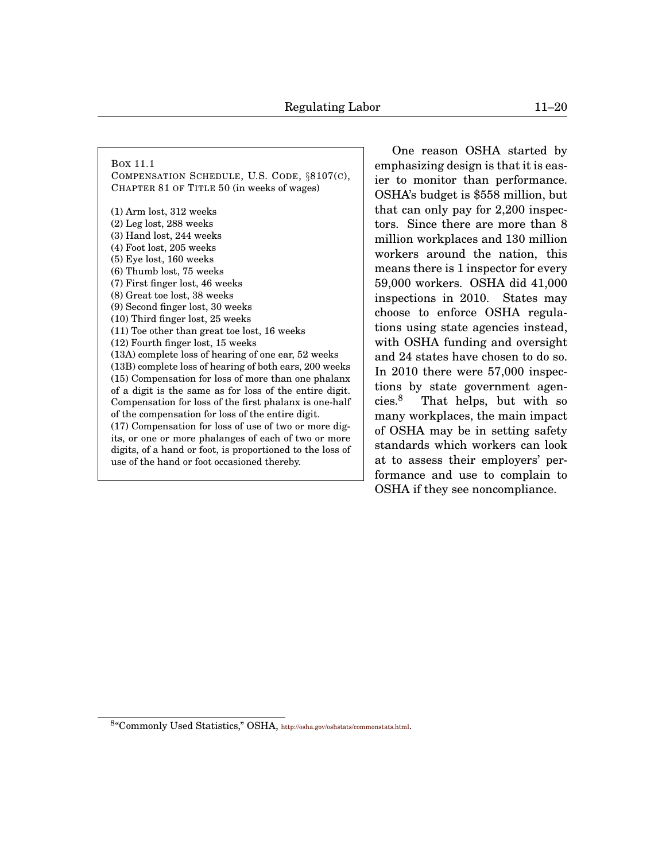<span id="page-19-0"></span>BOX [11.](#page-0-0)[1](#page-19-0)

COMPENSATION SCHEDULE, U.S. CODE, §8107(C), CHAPTER 81 OF TITLE 50 (in weeks of wages)

(1) Arm lost, 312 weeks (2) Leg lost, 288 weeks (3) Hand lost, 244 weeks (4) Foot lost, 205 weeks (5) Eye lost, 160 weeks (6) Thumb lost, 75 weeks (7) First finger lost, 46 weeks (8) Great toe lost, 38 weeks (9) Second finger lost, 30 weeks (10) Third finger lost, 25 weeks (11) Toe other than great toe lost, 16 weeks (12) Fourth finger lost, 15 weeks (13A) complete loss of hearing of one ear, 52 weeks (13B) complete loss of hearing of both ears, 200 weeks (15) Compensation for loss of more than one phalanx of a digit is the same as for loss of the entire digit. Compensation for loss of the first phalanx is one-half of the compensation for loss of the entire digit. (17) Compensation for loss of use of two or more digits, or one or more phalanges of each of two or more digits, of a hand or foot, is proportioned to the loss of use of the hand or foot occasioned thereby.

One reason OSHA started by emphasizing design is that it is easier to monitor than performance. OSHA's budget is \$558 million, but that can only pay for 2,200 inspectors. Since there are more than 8 million workplaces and 130 million workers around the nation, this means there is 1 inspector for every 59,000 workers. OSHA did 41,000 inspections in 2010. States may choose to enforce OSHA regulations using state agencies instead, with OSHA funding and oversight and 24 states have chosen to do so. In 2010 there were 57,000 inspections by state government agen- $cies.<sup>8</sup>$  $cies.<sup>8</sup>$  $cies.<sup>8</sup>$  That helps, but with so many workplaces, the main impact of OSHA may be in setting safety standards which workers can look at to assess their employers' performance and use to complain to OSHA if they see noncompliance.

<sup>8</sup> "Commonly Used Statistics," OSHA, <http://osha.gov/oshstats/commonstats.html>.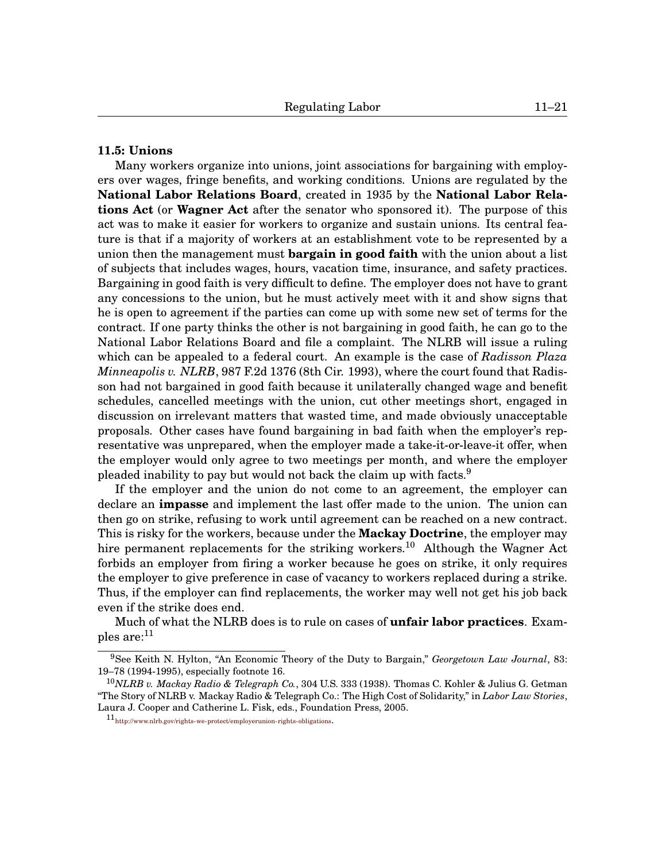## **[11.](#page-0-0)5: Unions**

Many workers organize into unions, joint associations for bargaining with employers over wages, fringe benefits, and working conditions. Unions are regulated by the **National Labor Relations Board**, created in 1935 by the **National Labor Relations Act** (or **Wagner Act** after the senator who sponsored it). The purpose of this act was to make it easier for workers to organize and sustain unions. Its central feature is that if a majority of workers at an establishment vote to be represented by a union then the management must **bargain in good faith** with the union about a list of subjects that includes wages, hours, vacation time, insurance, and safety practices. Bargaining in good faith is very difficult to define. The employer does not have to grant any concessions to the union, but he must actively meet with it and show signs that he is open to agreement if the parties can come up with some new set of terms for the contract. If one party thinks the other is not bargaining in good faith, he can go to the National Labor Relations Board and file a complaint. The NLRB will issue a ruling which can be appealed to a federal court. An example is the case of *Radisson Plaza Minneapolis v. NLRB*, 987 F.2d 1376 (8th Cir. 1993), where the court found that Radisson had not bargained in good faith because it unilaterally changed wage and benefit schedules, cancelled meetings with the union, cut other meetings short, engaged in discussion on irrelevant matters that wasted time, and made obviously unacceptable proposals. Other cases have found bargaining in bad faith when the employer's representative was unprepared, when the employer made a take-it-or-leave-it offer, when the employer would only agree to two meetings per month, and where the employer pleaded inability to pay but would not back the claim up with facts.<sup>[9](#page-0-1)</sup>

If the employer and the union do not come to an agreement, the employer can declare an **impasse** and implement the last offer made to the union. The union can then go on strike, refusing to work until agreement can be reached on a new contract. This is risky for the workers, because under the **Mackay Doctrine**, the employer may hire permanent replacements for the striking workers.<sup>[10](#page-0-1)</sup> Although the Wagner Act forbids an employer from firing a worker because he goes on strike, it only requires the employer to give preference in case of vacancy to workers replaced during a strike. Thus, if the employer can find replacements, the worker may well not get his job back even if the strike does end.

Much of what the NLRB does is to rule on cases of **unfair labor practices**. Examples are: $^{11}$  $^{11}$  $^{11}$ 

<sup>9</sup>See Keith N. Hylton, "An Economic Theory of the Duty to Bargain," *Georgetown Law Journal*, 83: 19–78 (1994-1995), especially footnote 16.

<sup>10</sup>*NLRB v. Mackay Radio & Telegraph Co.*, 304 U.S. 333 (1938). Thomas C. Kohler & Julius G. Getman "The Story of NLRB v. Mackay Radio & Telegraph Co.: The High Cost of Solidarity," in *Labor Law Stories*, Laura J. Cooper and Catherine L. Fisk, eds., Foundation Press, 2005.

<sup>11&</sup>lt;sub><http://www.nlrb.gov/rights-we-protect/employerunion-rights-obligations>.</sub>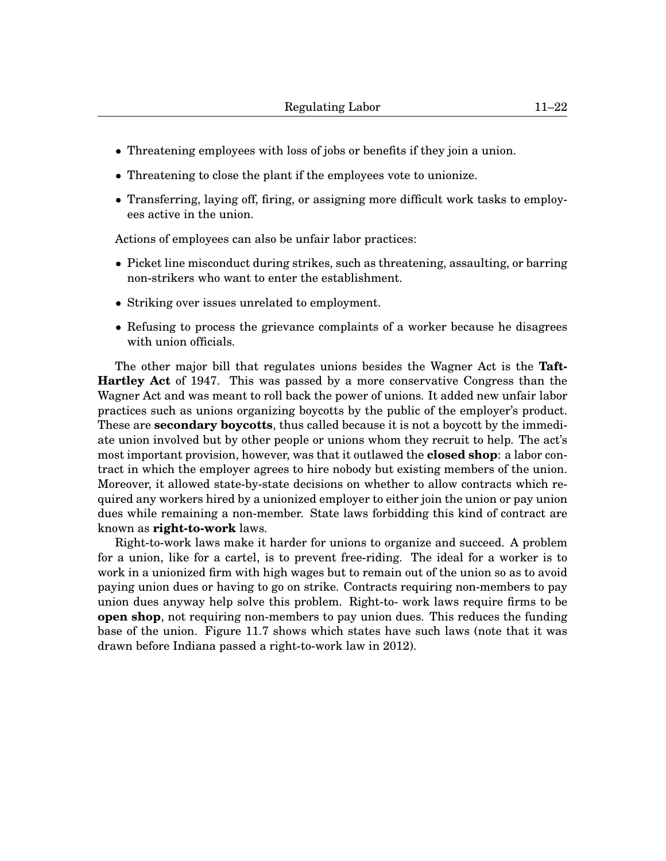- Threatening employees with loss of jobs or benefits if they join a union.
- Threatening to close the plant if the employees vote to unionize.
- Transferring, laying off, firing, or assigning more difficult work tasks to employees active in the union.

Actions of employees can also be unfair labor practices:

- Picket line misconduct during strikes, such as threatening, assaulting, or barring non-strikers who want to enter the establishment.
- Striking over issues unrelated to employment.
- Refusing to process the grievance complaints of a worker because he disagrees with union officials.

The other major bill that regulates unions besides the Wagner Act is the **Taft-Hartley Act** of 1947. This was passed by a more conservative Congress than the Wagner Act and was meant to roll back the power of unions. It added new unfair labor practices such as unions organizing boycotts by the public of the employer's product. These are **secondary boycotts**, thus called because it is not a boycott by the immediate union involved but by other people or unions whom they recruit to help. The act's most important provision, however, was that it outlawed the **closed shop**: a labor contract in which the employer agrees to hire nobody but existing members of the union. Moreover, it allowed state-by-state decisions on whether to allow contracts which required any workers hired by a unionized employer to either join the union or pay union dues while remaining a non-member. State laws forbidding this kind of contract are known as **right-to-work** laws.

Right-to-work laws make it harder for unions to organize and succeed. A problem for a union, like for a cartel, is to prevent free-riding. The ideal for a worker is to work in a unionized firm with high wages but to remain out of the union so as to avoid paying union dues or having to go on strike. Contracts requiring non-members to pay union dues anyway help solve this problem. Right-to- work laws require firms to be **open shop**, not requiring non-members to pay union dues. This reduces the funding base of the union. Figure [11](#page-0-0)[.7](#page-22-0) shows which states have such laws (note that it was drawn before Indiana passed a right-to-work law in 2012).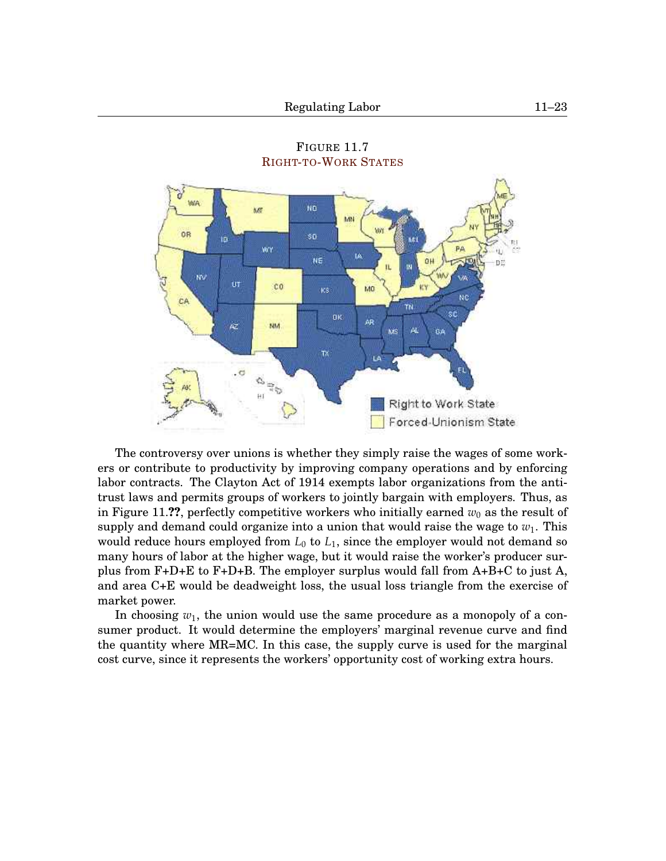<span id="page-22-0"></span>

FIGURE [11.](#page-0-0)[7](#page-22-0) RIGHT-TO-WORK S[TATES](http://www.nrtw.org/rtws.htm)

The controversy over unions is whether they simply raise the wages of some workers or contribute to productivity by improving company operations and by enforcing labor contracts. The Clayton Act of 1914 exempts labor organizations from the antitrust laws and permits groups of workers to jointly bargain with employers. Thus, as in Figure [11.](#page-0-0)??, perfectly competitive workers who initially earned  $w_0$  as the result of supply and demand could organize into a union that would raise the wage to  $w_1$ . This would reduce hours employed from  $L_0$  to  $L_1$ , since the employer would not demand so many hours of labor at the higher wage, but it would raise the worker's producer surplus from  $F+D+E$  to  $F+D+B$ . The employer surplus would fall from  $A+B+C$  to just A, and area C+E would be deadweight loss, the usual loss triangle from the exercise of market power.

In choosing *w*1, the union would use the same procedure as a monopoly of a consumer product. It would determine the employers' marginal revenue curve and find the quantity where MR=MC. In this case, the supply curve is used for the marginal cost curve, since it represents the workers' opportunity cost of working extra hours.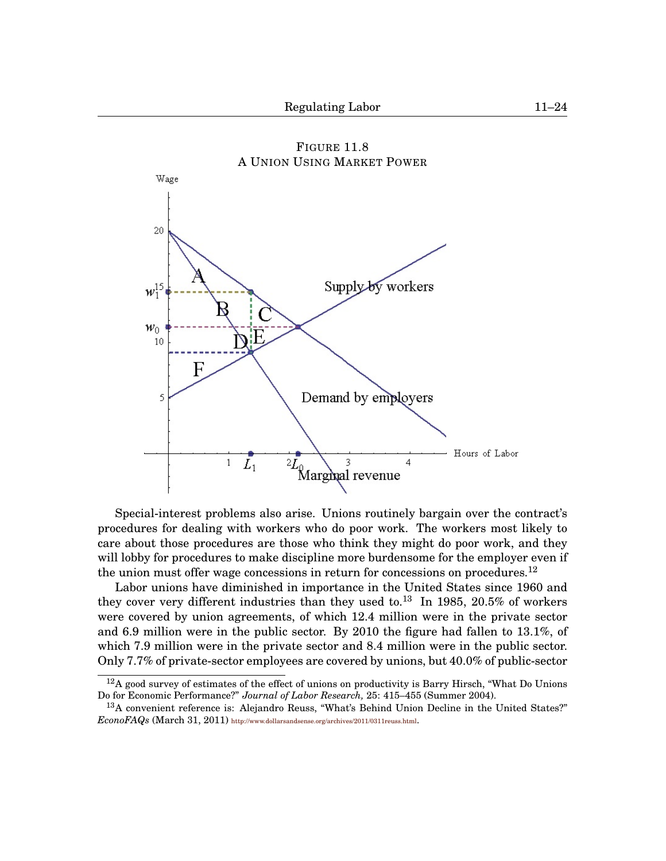<span id="page-23-0"></span>

FIGURE [11.](#page-0-0)[8](#page-23-0) A UNION USING MARKET POWER

Special-interest problems also arise. Unions routinely bargain over the contract's procedures for dealing with workers who do poor work. The workers most likely to care about those procedures are those who think they might do poor work, and they will lobby for procedures to make discipline more burdensome for the employer even if the union must offer wage concessions in return for concessions on procedures.<sup>[12](#page-0-1)</sup>

Labor unions have diminished in importance in the United States since 1960 and they cover very different industries than they used to.<sup>[13](#page-0-1)</sup> In 1985, 20.5% of workers were covered by union agreements, of which 12.4 million were in the private sector and 6.9 million were in the public sector. By 2010 the figure had fallen to 13.1%, of which 7.9 million were in the private sector and 8.4 million were in the public sector. Only 7.7% of private-sector employees are covered by unions, but 40.0% of public-sector

 $12A$  good survey of estimates of the effect of unions on productivity is Barry Hirsch, "What Do Unions" Do for Economic Performance?" *Journal of Labor Research,* 25: 415–455 (Summer 2004).

<sup>13</sup>A convenient reference is: Alejandro Reuss, "What's Behind Union Decline in the United States?" *EconoFAQs* (March 31, 2011) <http://www.dollarsandsense.org/archives/2011/0311reuss.html>.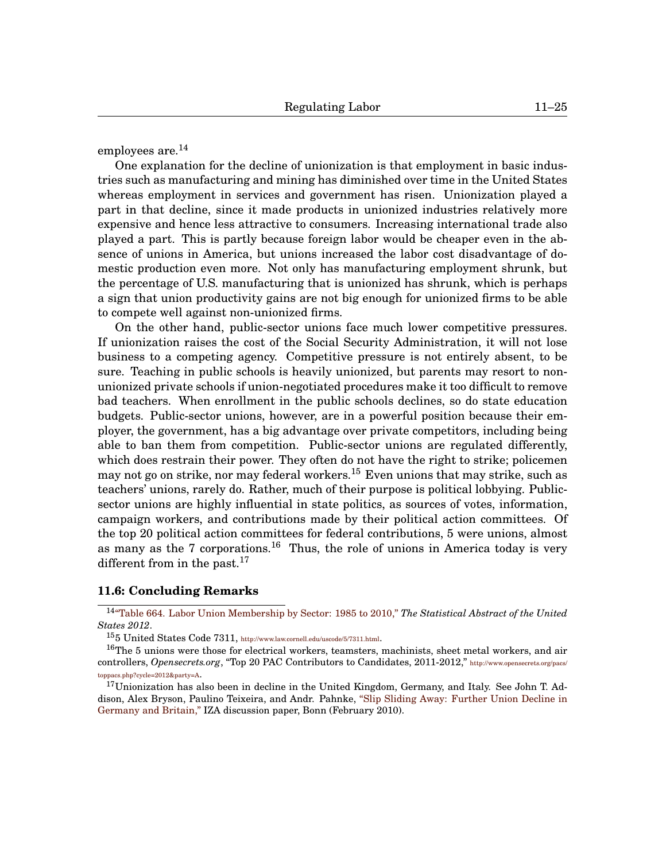employees are. $^{14}$  $^{14}$  $^{14}$ 

One explanation for the decline of unionization is that employment in basic industries such as manufacturing and mining has diminished over time in the United States whereas employment in services and government has risen. Unionization played a part in that decline, since it made products in unionized industries relatively more expensive and hence less attractive to consumers. Increasing international trade also played a part. This is partly because foreign labor would be cheaper even in the absence of unions in America, but unions increased the labor cost disadvantage of domestic production even more. Not only has manufacturing employment shrunk, but the percentage of U.S. manufacturing that is unionized has shrunk, which is perhaps a sign that union productivity gains are not big enough for unionized firms to be able to compete well against non-unionized firms.

On the other hand, public-sector unions face much lower competitive pressures. If unionization raises the cost of the Social Security Administration, it will not lose business to a competing agency. Competitive pressure is not entirely absent, to be sure. Teaching in public schools is heavily unionized, but parents may resort to nonunionized private schools if union-negotiated procedures make it too difficult to remove bad teachers. When enrollment in the public schools declines, so do state education budgets. Public-sector unions, however, are in a powerful position because their employer, the government, has a big advantage over private competitors, including being able to ban them from competition. Public-sector unions are regulated differently, which does restrain their power. They often do not have the right to strike; policemen may not go on strike, nor may federal workers.<sup>[15](#page-0-1)</sup> Even unions that may strike, such as teachers' unions, rarely do. Rather, much of their purpose is political lobbying. Publicsector unions are highly influential in state politics, as sources of votes, information, campaign workers, and contributions made by their political action committees. Of the top 20 political action committees for federal contributions, 5 were unions, almost as many as the 7 corporations.<sup>[16](#page-0-1)</sup> Thus, the role of unions in America today is very different from in the past.<sup>[17](#page-0-1)</sup>

## **[11.](#page-0-0)6: Concluding Remarks**

<sup>15</sup>5 United States Code 7311, [http://www.law.cornell.edu/uscode/5/7311.html]( http://www.law.cornell.edu/uscode/5/7311.html).

<sup>14</sup>["Table 664. Labor Union Membership by Sector: 1985 to 2010,"](http://www.census.gov/compendia/statab/2012/tables/12s0664.pdf) *The Statistical Abstract of the United States 2012*.

<sup>16</sup>The 5 unions were those for electrical workers, teamsters, machinists, sheet metal workers, and air controllers, *Opensecrets.org*, "Top 20 PAC Contributors to Candidates, 2011-2012," [http://www.opensecrets.org/pacs/](http://www.opensecrets.org/pacs/toppacs.php?cycle= 2012&party=A) [toppacs.php?cycle=2012&party=A](http://www.opensecrets.org/pacs/toppacs.php?cycle= 2012&party=A).

 $17$ Unionization has also been in decline in the United Kingdom, Germany, and Italy. See John T. Addison, Alex Bryson, Paulino Teixeira, and Andr. Pahnke, ["Slip Sliding Away: Further Union Decline in](http://www.politiquessociales.net/IMG/pdf/dp4760.pdf) [Germany and Britain,"](http://www.politiquessociales.net/IMG/pdf/dp4760.pdf) IZA discussion paper, Bonn (February 2010).